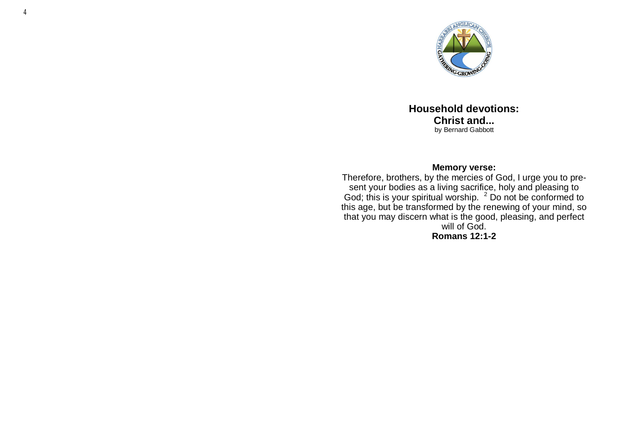

**Household devotions: Christ and...** by Bernard Gabbott

#### **Memory verse:**

Therefore, brothers, by the mercies of God, I urge you to present your bodies as a living sacrifice, holy and pleasing to God; this is your spiritual worship.  $2$  Do not be conformed to this age, but be transformed by the renewing of your mind, so that you may discern what is the good, pleasing, and perfect will of God. **Romans 12:1-2**